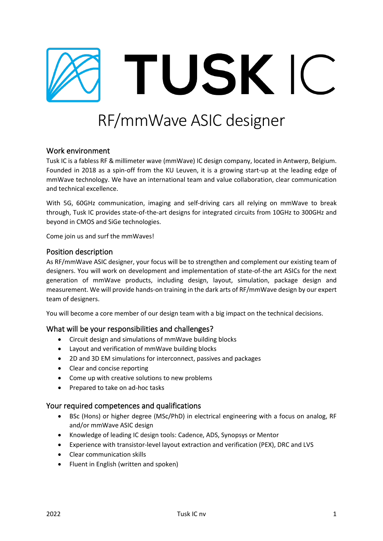

# RF/mmWave ASIC designer

## Work environment

Tusk IC is a fabless RF & millimeter wave (mmWave) IC design company, located in Antwerp, Belgium. Founded in 2018 as a spin-off from the KU Leuven, it is a growing start-up at the leading edge of mmWave technology. We have an international team and value collaboration, clear communication and technical excellence.

With 5G, 60GHz communication, imaging and self-driving cars all relying on mmWave to break through, Tusk IC provides state-of-the-art designs for integrated circuits from 10GHz to 300GHz and beyond in CMOS and SiGe technologies.

Come join us and surf the mmWaves!

## Position description

As RF/mmWave ASIC designer, your focus will be to strengthen and complement our existing team of designers. You will work on development and implementation of state-of-the art ASICs for the next generation of mmWave products, including design, layout, simulation, package design and measurement. We will provide hands-on training in the dark arts of RF/mmWave design by our expert team of designers.

You will become a core member of our design team with a big impact on the technical decisions.

#### What will be your responsibilities and challenges?

- Circuit design and simulations of mmWave building blocks
- Layout and verification of mmWave building blocks
- 2D and 3D EM simulations for interconnect, passives and packages
- Clear and concise reporting
- Come up with creative solutions to new problems
- Prepared to take on ad-hoc tasks

#### Your required competences and qualifications

- BSc (Hons) or higher degree (MSc/PhD) in electrical engineering with a focus on analog, RF and/or mmWave ASIC design
- Knowledge of leading IC design tools: Cadence, ADS, Synopsys or Mentor
- Experience with transistor-level layout extraction and verification (PEX), DRC and LVS
- Clear communication skills
- Fluent in English (written and spoken)